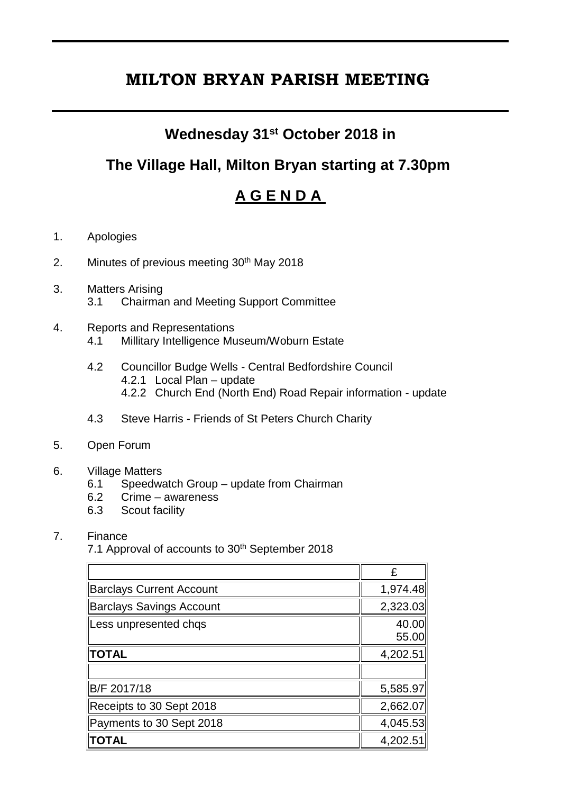# **MILTON BRYAN PARISH MEETING**

### **Wednesday 31st October 2018 in**

## **The Village Hall, Milton Bryan starting at 7.30pm**

## **A G E N D A**

- 1. Apologies
- 2. Minutes of previous meeting 30<sup>th</sup> May 2018
- 3. Matters Arising 3.1 Chairman and Meeting Support Committee
- 4. Reports and Representations
	- 4.1 Millitary Intelligence Museum/Woburn Estate
	- 4.2 Councillor Budge Wells Central Bedfordshire Council 4.2.1 Local Plan – update 4.2.2 Church End (North End) Road Repair information - update
	- 4.3 Steve Harris Friends of St Peters Church Charity
- 5. Open Forum
- 6. Village Matters
	- 6.1 Speedwatch Group update from Chairman
	- 6.2 Crime awareness
	- 6.3 Scout facility

#### 7. Finance

7.1 Approval of accounts to 30<sup>th</sup> September 2018

|                                 | £              |
|---------------------------------|----------------|
| <b>Barclays Current Account</b> | 1,974.48       |
| <b>Barclays Savings Account</b> | 2,323.03       |
| Less unpresented chqs           | 40.00<br>55.00 |
| <b>TOTAL</b>                    | 4,202.51       |
|                                 |                |
| B/F 2017/18                     | 5,585.97       |
| Receipts to 30 Sept 2018        | 2,662.07       |
| Payments to 30 Sept 2018        | 4,045.53       |
| <b>TOTAL</b>                    | 4,202.51       |